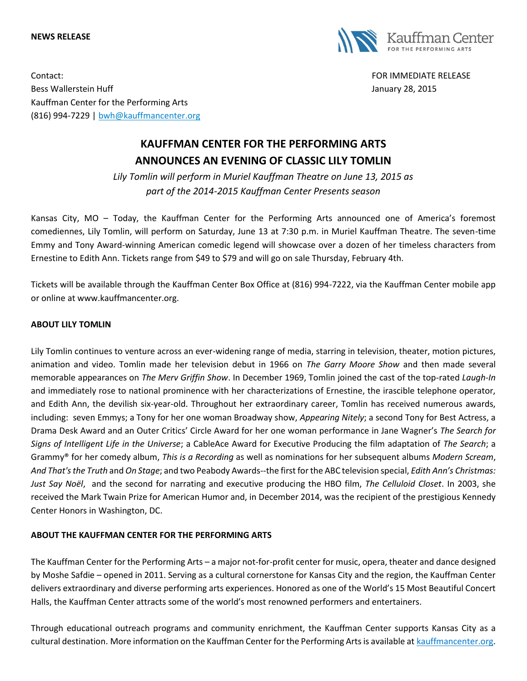## **NEWS RELEASE**



Contact: FOR IMMEDIATE RELEASE Bess Wallerstein Huff **Gallerstein Huff** January 28, 2015 Kauffman Center for the Performing Arts (816) 994-7229 | [bwh@kauffmancenter.org](mailto:bwh@kauffmancenter.org)

## **KAUFFMAN CENTER FOR THE PERFORMING ARTS ANNOUNCES AN EVENING OF CLASSIC LILY TOMLIN**

*Lily Tomlin will perform in Muriel Kauffman Theatre on June 13, 2015 as part of the 2014-2015 Kauffman Center Presents season*

Kansas City, MO – Today, the Kauffman Center for the Performing Arts announced one of America's foremost comediennes, Lily Tomlin, will perform on Saturday, June 13 at 7:30 p.m. in Muriel Kauffman Theatre. The seven-time Emmy and Tony Award-winning American comedic legend will showcase over a dozen of her timeless characters from Ernestine to Edith Ann. Tickets range from \$49 to \$79 and will go on sale Thursday, February 4th.

Tickets will be available through the Kauffman Center Box Office at (816) 994-7222, via the Kauffman Center mobile app or online at www.kauffmancenter.org.

## **ABOUT LILY TOMLIN**

Lily Tomlin continues to venture across an ever-widening range of media, starring in television, theater, motion pictures, animation and video. Tomlin made her television debut in 1966 on *The Garry Moore Show* and then made several memorable appearances on *The Merv Griffin Show*. In December 1969, Tomlin joined the cast of the top-rated *Laugh-In* and immediately rose to national prominence with her characterizations of Ernestine, the irascible telephone operator, and Edith Ann, the devilish six-year-old. Throughout her extraordinary career, Tomlin has received numerous awards, including: seven Emmys; a Tony for her one woman Broadway show, *Appearing Nitely*; a second Tony for Best Actress, a Drama Desk Award and an Outer Critics' Circle Award for her one woman performance in Jane Wagner's *The Search for Signs of Intelligent Life in the Universe*; a CableAce Award for Executive Producing the film adaptation of *The Search*; a Grammy® for her comedy album, *This is a Recording* as well as nominations for her subsequent albums *Modern Scream*, *And That's the Truth* and *On Stage*; and two Peabody Awards--the first for the ABC television special, *Edith Ann's Christmas: Just Say Noël*, and the second for narrating and executive producing the HBO film, *The Celluloid Closet*. In 2003, she received the Mark Twain Prize for American Humor and, in December 2014, was the recipient of the prestigious Kennedy Center Honors in Washington, DC.

## **ABOUT THE KAUFFMAN CENTER FOR THE PERFORMING ARTS**

The Kauffman Center for the Performing Arts – a major not-for-profit center for music, opera, theater and dance designed by Moshe Safdie – opened in 2011. Serving as a cultural cornerstone for Kansas City and the region, the Kauffman Center delivers extraordinary and diverse performing arts experiences. Honored as one of the World's 15 Most Beautiful Concert Halls, the Kauffman Center attracts some of the world's most renowned performers and entertainers.

Through educational outreach programs and community enrichment, the Kauffman Center supports Kansas City as a cultural destination. More information on the Kauffman Center for the Performing Arts is available at [kauffmancenter.org.](http://tracking.wordfly.com/click?sid=MTc4XzQ3MjBfOTc3NjZfNjc5Mg&l=580a40e4-b522-e611-bb2d-e41f1345a46a&utm_source=wordfly&utm_medium=email&utm_campaign=Release%3AKoz%26Sanborn%2CKansas&utm_content=version_A&sourceNumber=&utm_source=wordfly&utm_medium=email&utm_campaign=Release%3ALampedusa%2CWinston%2CMarsalis&utm_content=version_A&sourceNumber=)